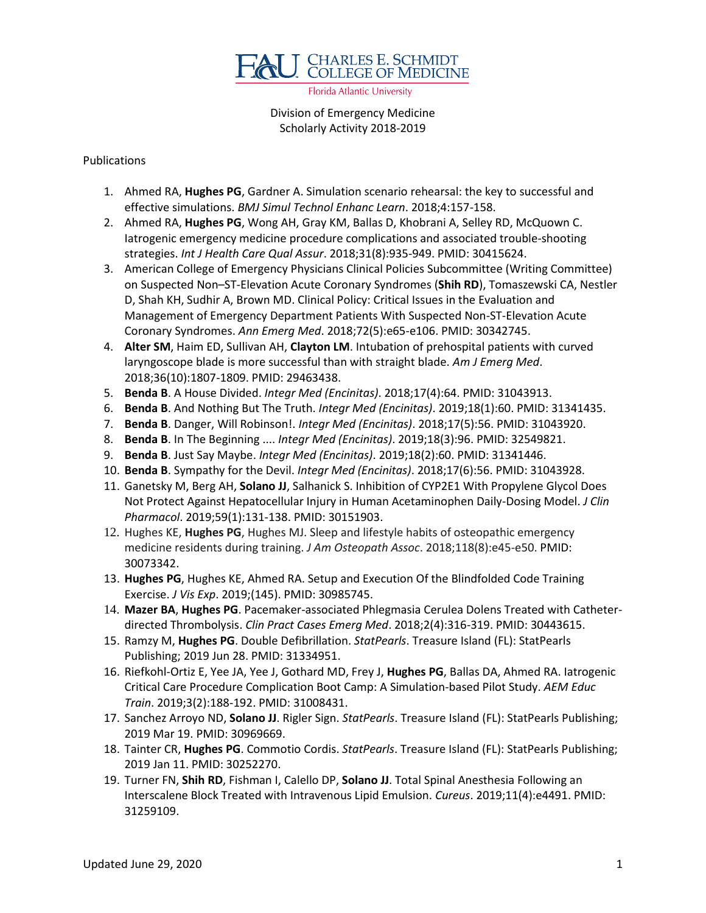

Florida Atlantic University

Division of Emergency Medicine Scholarly Activity 2018-2019

## Publications

- 1. Ahmed RA, **Hughes PG**, Gardner A. Simulation scenario rehearsal: the key to successful and effective simulations. *BMJ Simul Technol Enhanc Learn*. 2018;4:157-158.
- 2. Ahmed RA, **Hughes PG**, Wong AH, Gray KM, Ballas D, Khobrani A, Selley RD, McQuown C. Iatrogenic emergency medicine procedure complications and associated trouble-shooting strategies. *Int J Health Care Qual Assur*. 2018;31(8):935-949. PMID: 30415624.
- 3. American College of Emergency Physicians Clinical Policies Subcommittee (Writing Committee) on Suspected Non–ST-Elevation Acute Coronary Syndromes (**Shih RD**), Tomaszewski CA, Nestler D, Shah KH, Sudhir A, Brown MD. Clinical Policy: Critical Issues in the Evaluation and Management of Emergency Department Patients With Suspected Non-ST-Elevation Acute Coronary Syndromes. *Ann Emerg Med*. 2018;72(5):e65-e106. PMID: 30342745.
- 4. **Alter SM**, Haim ED, Sullivan AH, **Clayton LM**. Intubation of prehospital patients with curved laryngoscope blade is more successful than with straight blade. *Am J Emerg Med*. 2018;36(10):1807-1809. PMID: 29463438.
- 5. **Benda B**. A House Divided. *Integr Med (Encinitas)*. 2018;17(4):64. PMID: 31043913.
- 6. **Benda B**. And Nothing But The Truth. *Integr Med (Encinitas)*. 2019;18(1):60. PMID: 31341435.
- 7. **Benda B**. Danger, Will Robinson!. *Integr Med (Encinitas)*. 2018;17(5):56. PMID: 31043920.
- 8. **Benda B**. In The Beginning .... *Integr Med (Encinitas)*. 2019;18(3):96. PMID: 32549821.
- 9. **Benda B**. Just Say Maybe. *Integr Med (Encinitas)*. 2019;18(2):60. PMID: 31341446.
- 10. **Benda B**. Sympathy for the Devil. *Integr Med (Encinitas)*. 2018;17(6):56. PMID: 31043928.
- 11. Ganetsky M, Berg AH, **Solano JJ**, Salhanick S. Inhibition of CYP2E1 With Propylene Glycol Does Not Protect Against Hepatocellular Injury in Human Acetaminophen Daily-Dosing Model. *J Clin Pharmacol*. 2019;59(1):131-138. PMID: 30151903.
- 12. Hughes KE, **Hughes PG**, Hughes MJ. Sleep and lifestyle habits of osteopathic emergency medicine residents during training. *J Am Osteopath Assoc*. 2018;118(8):e45-e50. PMID: 30073342.
- 13. **Hughes PG**, Hughes KE, Ahmed RA. Setup and Execution Of the Blindfolded Code Training Exercise. *J Vis Exp*. 2019;(145). PMID: 30985745.
- 14. **Mazer BA**, **Hughes PG**. Pacemaker-associated Phlegmasia Cerulea Dolens Treated with Catheterdirected Thrombolysis. *Clin Pract Cases Emerg Med*. 2018;2(4):316-319. PMID: 30443615.
- 15. Ramzy M, **Hughes PG**. Double Defibrillation. *StatPearls*. Treasure Island (FL): StatPearls Publishing; 2019 Jun 28. PMID: 31334951.
- 16. Riefkohl-Ortiz E, Yee JA, Yee J, Gothard MD, Frey J, **Hughes PG**, Ballas DA, Ahmed RA. Iatrogenic Critical Care Procedure Complication Boot Camp: A Simulation-based Pilot Study. *AEM Educ Train*. 2019;3(2):188-192. PMID: 31008431.
- 17. Sanchez Arroyo ND, **Solano JJ**. Rigler Sign. *StatPearls*. Treasure Island (FL): StatPearls Publishing; 2019 Mar 19. PMID: 30969669.
- 18. Tainter CR, **Hughes PG**. Commotio Cordis. *StatPearls*. Treasure Island (FL): StatPearls Publishing; 2019 Jan 11. PMID: 30252270.
- 19. Turner FN, **Shih RD**, Fishman I, Calello DP, **Solano JJ**. Total Spinal Anesthesia Following an Interscalene Block Treated with Intravenous Lipid Emulsion. *Cureus*. 2019;11(4):e4491. PMID: 31259109.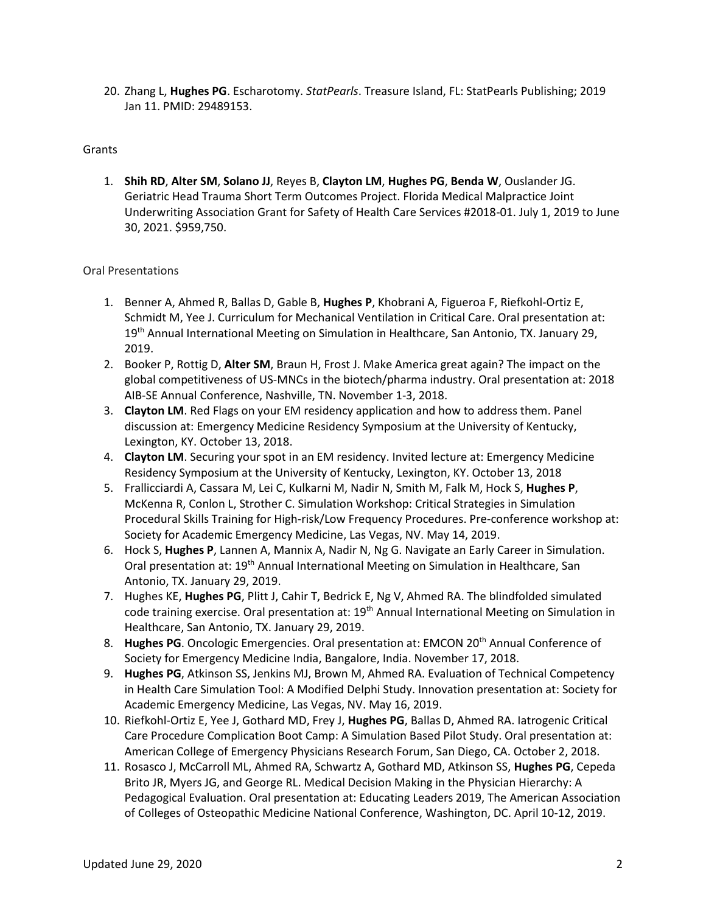20. Zhang L, **Hughes PG**. Escharotomy. *StatPearls*. Treasure Island, FL: StatPearls Publishing; 2019 Jan 11. PMID: 29489153.

## Grants

1. **Shih RD**, **Alter SM**, **Solano JJ**, Reyes B, **Clayton LM**, **Hughes PG**, **Benda W**, Ouslander JG. Geriatric Head Trauma Short Term Outcomes Project. Florida Medical Malpractice Joint Underwriting Association Grant for Safety of Health Care Services #2018-01. July 1, 2019 to June 30, 2021. \$959,750.

## Oral Presentations

- 1. Benner A, Ahmed R, Ballas D, Gable B, **Hughes P**, Khobrani A, Figueroa F, Riefkohl-Ortiz E, Schmidt M, Yee J. Curriculum for Mechanical Ventilation in Critical Care. Oral presentation at: 19<sup>th</sup> Annual International Meeting on Simulation in Healthcare, San Antonio, TX. January 29, 2019.
- 2. Booker P, Rottig D, **Alter SM**, Braun H, Frost J. Make America great again? The impact on the global competitiveness of US-MNCs in the biotech/pharma industry. Oral presentation at: 2018 AIB-SE Annual Conference, Nashville, TN. November 1-3, 2018.
- 3. **Clayton LM**. Red Flags on your EM residency application and how to address them. Panel discussion at: Emergency Medicine Residency Symposium at the University of Kentucky, Lexington, KY. October 13, 2018.
- 4. **Clayton LM**. Securing your spot in an EM residency. Invited lecture at: Emergency Medicine Residency Symposium at the University of Kentucky, Lexington, KY. October 13, 2018
- 5. Frallicciardi A, Cassara M, Lei C, Kulkarni M, Nadir N, Smith M, Falk M, Hock S, **Hughes P**, McKenna R, Conlon L, Strother C. Simulation Workshop: Critical Strategies in Simulation Procedural Skills Training for High-risk/Low Frequency Procedures. Pre-conference workshop at: Society for Academic Emergency Medicine, Las Vegas, NV. May 14, 2019.
- 6. Hock S, **Hughes P**, Lannen A, Mannix A, Nadir N, Ng G. Navigate an Early Career in Simulation. Oral presentation at: 19th Annual International Meeting on Simulation in Healthcare, San Antonio, TX. January 29, 2019.
- 7. Hughes KE, **Hughes PG**, Plitt J, Cahir T, Bedrick E, Ng V, Ahmed RA. The blindfolded simulated code training exercise. Oral presentation at: 19th Annual International Meeting on Simulation in Healthcare, San Antonio, TX. January 29, 2019.
- 8. **Hughes PG**. Oncologic Emergencies. Oral presentation at: EMCON 20<sup>th</sup> Annual Conference of Society for Emergency Medicine India, Bangalore, India. November 17, 2018.
- 9. **Hughes PG**, Atkinson SS, Jenkins MJ, Brown M, Ahmed RA. Evaluation of Technical Competency in Health Care Simulation Tool: A Modified Delphi Study. Innovation presentation at: Society for Academic Emergency Medicine, Las Vegas, NV. May 16, 2019.
- 10. Riefkohl-Ortiz E, Yee J, Gothard MD, Frey J, **Hughes PG**, Ballas D, Ahmed RA. Iatrogenic Critical Care Procedure Complication Boot Camp: A Simulation Based Pilot Study. Oral presentation at: American College of Emergency Physicians Research Forum, San Diego, CA. October 2, 2018.
- 11. Rosasco J, McCarroll ML, Ahmed RA, Schwartz A, Gothard MD, Atkinson SS, **Hughes PG**, Cepeda Brito JR, Myers JG, and George RL. Medical Decision Making in the Physician Hierarchy: A Pedagogical Evaluation. Oral presentation at: Educating Leaders 2019, The American Association of Colleges of Osteopathic Medicine National Conference, Washington, DC. April 10-12, 2019.